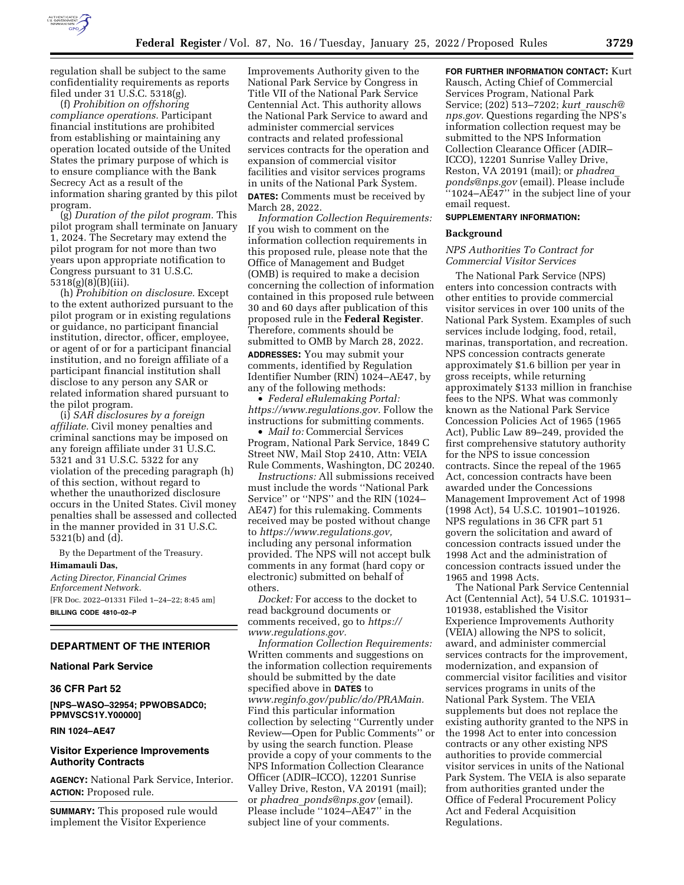

regulation shall be subject to the same confidentiality requirements as reports filed under 31 U.S.C. 5318(g).

(f) *Prohibition on offshoring compliance operations.* Participant financial institutions are prohibited from establishing or maintaining any operation located outside of the United States the primary purpose of which is to ensure compliance with the Bank Secrecy Act as a result of the information sharing granted by this pilot program.

(g) *Duration of the pilot program.* This pilot program shall terminate on January 1, 2024. The Secretary may extend the pilot program for not more than two years upon appropriate notification to Congress pursuant to 31 U.S.C. 5318(g)(8)(B)(iii).

(h) *Prohibition on disclosure.* Except to the extent authorized pursuant to the pilot program or in existing regulations or guidance, no participant financial institution, director, officer, employee, or agent of or for a participant financial institution, and no foreign affiliate of a participant financial institution shall disclose to any person any SAR or related information shared pursuant to the pilot program.

(i) *SAR disclosures by a foreign affiliate.* Civil money penalties and criminal sanctions may be imposed on any foreign affiliate under 31 U.S.C. 5321 and 31 U.S.C. 5322 for any violation of the preceding paragraph (h) of this section, without regard to whether the unauthorized disclosure occurs in the United States. Civil money penalties shall be assessed and collected in the manner provided in 31 U.S.C. 5321(b) and (d).

By the Department of the Treasury. **Himamauli Das,** 

*Acting Director, Financial Crimes Enforcement Network.*  [FR Doc. 2022–01331 Filed 1–24–22; 8:45 am] **BILLING CODE 4810–02–P** 

# **DEPARTMENT OF THE INTERIOR**

# **National Park Service**

# **36 CFR Part 52**

**[NPS–WASO–32954; PPWOBSADC0; PPMVSCS1Y.Y00000]** 

### **RIN 1024–AE47**

### **Visitor Experience Improvements Authority Contracts**

**AGENCY:** National Park Service, Interior. **ACTION:** Proposed rule.

**SUMMARY:** This proposed rule would implement the Visitor Experience

Improvements Authority given to the National Park Service by Congress in Title VII of the National Park Service Centennial Act. This authority allows the National Park Service to award and administer commercial services contracts and related professional services contracts for the operation and expansion of commercial visitor facilities and visitor services programs in units of the National Park System. **DATES:** Comments must be received by March 28, 2022.

*Information Collection Requirements:*  If you wish to comment on the information collection requirements in this proposed rule, please note that the Office of Management and Budget (OMB) is required to make a decision concerning the collection of information contained in this proposed rule between 30 and 60 days after publication of this proposed rule in the **Federal Register**. Therefore, comments should be submitted to OMB by March 28, 2022. **ADDRESSES:** You may submit your

comments, identified by Regulation Identifier Number (RIN) 1024–AE47, by any of the following methods:

• *Federal eRulemaking Portal: [https://www.regulations.gov.](https://www.regulations.gov)* Follow the instructions for submitting comments.

• *Mail to:* Commercial Services Program, National Park Service, 1849 C Street NW, Mail Stop 2410, Attn: VEIA Rule Comments, Washington, DC 20240.

*Instructions:* All submissions received must include the words ''National Park Service'' or ''NPS'' and the RIN (1024– AE47) for this rulemaking. Comments received may be posted without change to *[https://www.regulations.gov,](https://www.regulations.gov)*  including any personal information provided. The NPS will not accept bulk comments in any format (hard copy or electronic) submitted on behalf of others.

*Docket:* For access to the docket to read background documents or comments received, go to *[https://](https://www.regulations.gov) [www.regulations.gov.](https://www.regulations.gov)* 

*Information Collection Requirements:*  Written comments and suggestions on the information collection requirements should be submitted by the date specified above in **DATES** to *[www.reginfo.gov/public/do/PRAMain.](http://www.reginfo.gov/public/do/PRAMain)*  Find this particular information collection by selecting ''Currently under Review—Open for Public Comments'' or by using the search function. Please provide a copy of your comments to the NPS Information Collection Clearance Officer (ADIR–ICCO), 12201 Sunrise Valley Drive, Reston, VA 20191 (mail); or *phadrea*\_*[ponds@nps.gov](mailto:phadrea_ponds@nps.gov)* (email). Please include "1024–AE47" in the subject line of your comments.

**FOR FURTHER INFORMATION CONTACT:** Kurt Rausch, Acting Chief of Commercial Services Program, National Park Service; (202) 513–7202; *kurt*\_*[rausch@](mailto:kurt_rausch@nps.gov) [nps.gov.](mailto:kurt_rausch@nps.gov)* Questions regarding the NPS's information collection request may be submitted to the NPS Information Collection Clearance Officer (ADIR– ICCO), 12201 Sunrise Valley Drive, Reston, VA 20191 (mail); or *[phadrea](mailto:phadrea_ponds@nps.gov)*\_ *[ponds@nps.gov](mailto:phadrea_ponds@nps.gov)* (email). Please include  $``1024-\text{A}E47"$  in the subject line of your email request.

#### **SUPPLEMENTARY INFORMATION:**

#### **Background**

### *NPS Authorities To Contract for Commercial Visitor Services*

The National Park Service (NPS) enters into concession contracts with other entities to provide commercial visitor services in over 100 units of the National Park System. Examples of such services include lodging, food, retail, marinas, transportation, and recreation. NPS concession contracts generate approximately \$1.6 billion per year in gross receipts, while returning approximately \$133 million in franchise fees to the NPS. What was commonly known as the National Park Service Concession Policies Act of 1965 (1965 Act), Public Law 89–249, provided the first comprehensive statutory authority for the NPS to issue concession contracts. Since the repeal of the 1965 Act, concession contracts have been awarded under the Concessions Management Improvement Act of 1998 (1998 Act), 54 U.S.C. 101901–101926. NPS regulations in 36 CFR part 51 govern the solicitation and award of concession contracts issued under the 1998 Act and the administration of concession contracts issued under the 1965 and 1998 Acts.

The National Park Service Centennial Act (Centennial Act), 54 U.S.C. 101931– 101938, established the Visitor Experience Improvements Authority (VEIA) allowing the NPS to solicit, award, and administer commercial services contracts for the improvement, modernization, and expansion of commercial visitor facilities and visitor services programs in units of the National Park System. The VEIA supplements but does not replace the existing authority granted to the NPS in the 1998 Act to enter into concession contracts or any other existing NPS authorities to provide commercial visitor services in units of the National Park System. The VEIA is also separate from authorities granted under the Office of Federal Procurement Policy Act and Federal Acquisition Regulations.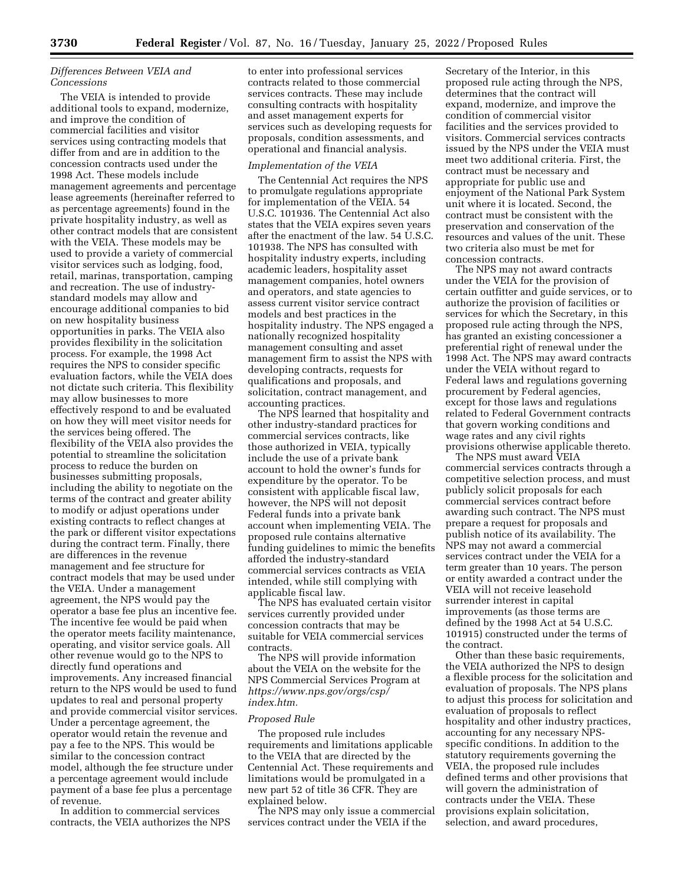# *Differences Between VEIA and Concessions*

The VEIA is intended to provide additional tools to expand, modernize, and improve the condition of commercial facilities and visitor services using contracting models that differ from and are in addition to the concession contracts used under the 1998 Act. These models include management agreements and percentage lease agreements (hereinafter referred to as percentage agreements) found in the private hospitality industry, as well as other contract models that are consistent with the VEIA. These models may be used to provide a variety of commercial visitor services such as lodging, food, retail, marinas, transportation, camping and recreation. The use of industrystandard models may allow and encourage additional companies to bid on new hospitality business opportunities in parks. The VEIA also provides flexibility in the solicitation process. For example, the 1998 Act requires the NPS to consider specific evaluation factors, while the VEIA does not dictate such criteria. This flexibility may allow businesses to more effectively respond to and be evaluated on how they will meet visitor needs for the services being offered. The flexibility of the VEIA also provides the potential to streamline the solicitation process to reduce the burden on businesses submitting proposals, including the ability to negotiate on the terms of the contract and greater ability to modify or adjust operations under existing contracts to reflect changes at the park or different visitor expectations during the contract term. Finally, there are differences in the revenue management and fee structure for contract models that may be used under the VEIA. Under a management agreement, the NPS would pay the operator a base fee plus an incentive fee. The incentive fee would be paid when the operator meets facility maintenance, operating, and visitor service goals. All other revenue would go to the NPS to directly fund operations and improvements. Any increased financial return to the NPS would be used to fund updates to real and personal property and provide commercial visitor services. Under a percentage agreement, the operator would retain the revenue and pay a fee to the NPS. This would be similar to the concession contract model, although the fee structure under a percentage agreement would include payment of a base fee plus a percentage of revenue.

In addition to commercial services contracts, the VEIA authorizes the NPS

to enter into professional services contracts related to those commercial services contracts. These may include consulting contracts with hospitality and asset management experts for services such as developing requests for proposals, condition assessments, and operational and financial analysis.

#### *Implementation of the VEIA*

The Centennial Act requires the NPS to promulgate regulations appropriate for implementation of the VEIA. 54 U.S.C. 101936. The Centennial Act also states that the VEIA expires seven years after the enactment of the law. 54 U.S.C. 101938. The NPS has consulted with hospitality industry experts, including academic leaders, hospitality asset management companies, hotel owners and operators, and state agencies to assess current visitor service contract models and best practices in the hospitality industry. The NPS engaged a nationally recognized hospitality management consulting and asset management firm to assist the NPS with developing contracts, requests for qualifications and proposals, and solicitation, contract management, and accounting practices.

The NPS learned that hospitality and other industry-standard practices for commercial services contracts, like those authorized in VEIA, typically include the use of a private bank account to hold the owner's funds for expenditure by the operator. To be consistent with applicable fiscal law, however, the NPS will not deposit Federal funds into a private bank account when implementing VEIA. The proposed rule contains alternative funding guidelines to mimic the benefits afforded the industry-standard commercial services contracts as VEIA intended, while still complying with applicable fiscal law.

The NPS has evaluated certain visitor services currently provided under concession contracts that may be suitable for VEIA commercial services contracts.

The NPS will provide information about the VEIA on the website for the NPS Commercial Services Program at *[https://www.nps.gov/orgs/csp/](https://www.nps.gov/orgs/csp/index.htm)  [index.htm.](https://www.nps.gov/orgs/csp/index.htm)* 

#### *Proposed Rule*

The proposed rule includes requirements and limitations applicable to the VEIA that are directed by the Centennial Act. These requirements and limitations would be promulgated in a new part 52 of title 36 CFR. They are explained below.

The NPS may only issue a commercial services contract under the VEIA if the

Secretary of the Interior, in this proposed rule acting through the NPS, determines that the contract will expand, modernize, and improve the condition of commercial visitor facilities and the services provided to visitors. Commercial services contracts issued by the NPS under the VEIA must meet two additional criteria. First, the contract must be necessary and appropriate for public use and enjoyment of the National Park System unit where it is located. Second, the contract must be consistent with the preservation and conservation of the resources and values of the unit. These two criteria also must be met for concession contracts.

The NPS may not award contracts under the VEIA for the provision of certain outfitter and guide services, or to authorize the provision of facilities or services for which the Secretary, in this proposed rule acting through the NPS, has granted an existing concessioner a preferential right of renewal under the 1998 Act. The NPS may award contracts under the VEIA without regard to Federal laws and regulations governing procurement by Federal agencies, except for those laws and regulations related to Federal Government contracts that govern working conditions and wage rates and any civil rights provisions otherwise applicable thereto.

The NPS must award VEIA commercial services contracts through a competitive selection process, and must publicly solicit proposals for each commercial services contract before awarding such contract. The NPS must prepare a request for proposals and publish notice of its availability. The NPS may not award a commercial services contract under the VEIA for a term greater than 10 years. The person or entity awarded a contract under the VEIA will not receive leasehold surrender interest in capital improvements (as those terms are defined by the 1998 Act at 54 U.S.C. 101915) constructed under the terms of the contract.

Other than these basic requirements, the VEIA authorized the NPS to design a flexible process for the solicitation and evaluation of proposals. The NPS plans to adjust this process for solicitation and evaluation of proposals to reflect hospitality and other industry practices, accounting for any necessary NPSspecific conditions. In addition to the statutory requirements governing the VEIA, the proposed rule includes defined terms and other provisions that will govern the administration of contracts under the VEIA. These provisions explain solicitation, selection, and award procedures,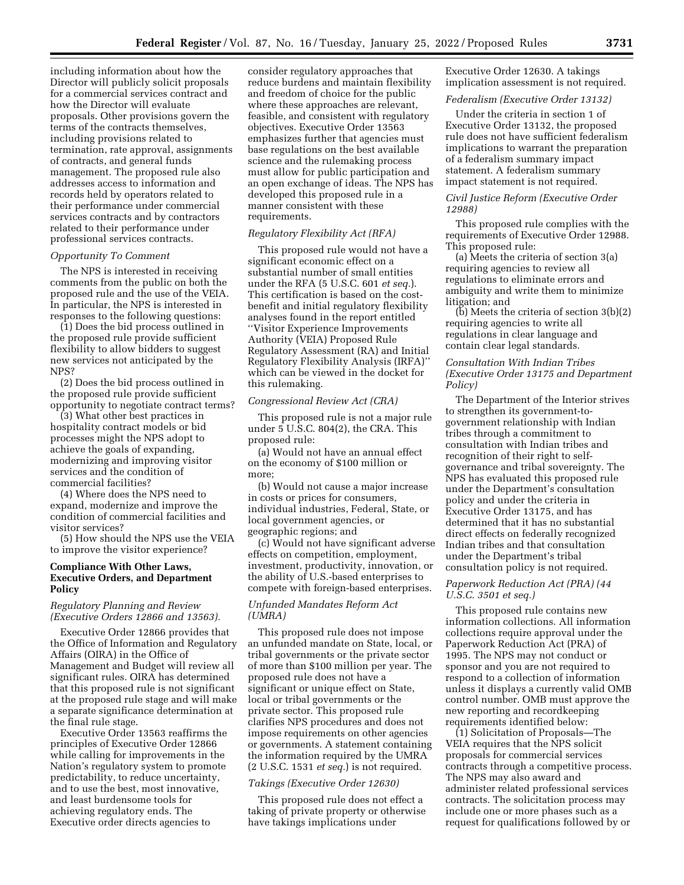including information about how the Director will publicly solicit proposals for a commercial services contract and how the Director will evaluate proposals. Other provisions govern the terms of the contracts themselves, including provisions related to termination, rate approval, assignments of contracts, and general funds management. The proposed rule also addresses access to information and records held by operators related to their performance under commercial services contracts and by contractors related to their performance under professional services contracts.

### *Opportunity To Comment*

The NPS is interested in receiving comments from the public on both the proposed rule and the use of the VEIA. In particular, the NPS is interested in responses to the following questions:

(1) Does the bid process outlined in the proposed rule provide sufficient flexibility to allow bidders to suggest new services not anticipated by the NPS?

(2) Does the bid process outlined in the proposed rule provide sufficient opportunity to negotiate contract terms?

(3) What other best practices in hospitality contract models or bid processes might the NPS adopt to achieve the goals of expanding, modernizing and improving visitor services and the condition of commercial facilities?

(4) Where does the NPS need to expand, modernize and improve the condition of commercial facilities and visitor services?

(5) How should the NPS use the VEIA to improve the visitor experience?

### **Compliance With Other Laws, Executive Orders, and Department Policy**

### *Regulatory Planning and Review (Executive Orders 12866 and 13563).*

Executive Order 12866 provides that the Office of Information and Regulatory Affairs (OIRA) in the Office of Management and Budget will review all significant rules. OIRA has determined that this proposed rule is not significant at the proposed rule stage and will make a separate significance determination at the final rule stage.

Executive Order 13563 reaffirms the principles of Executive Order 12866 while calling for improvements in the Nation's regulatory system to promote predictability, to reduce uncertainty, and to use the best, most innovative, and least burdensome tools for achieving regulatory ends. The Executive order directs agencies to

consider regulatory approaches that reduce burdens and maintain flexibility and freedom of choice for the public where these approaches are relevant, feasible, and consistent with regulatory objectives. Executive Order 13563 emphasizes further that agencies must base regulations on the best available science and the rulemaking process must allow for public participation and an open exchange of ideas. The NPS has developed this proposed rule in a manner consistent with these requirements.

### *Regulatory Flexibility Act (RFA)*

This proposed rule would not have a significant economic effect on a substantial number of small entities under the RFA (5 U.S.C. 601 *et seq.*). This certification is based on the costbenefit and initial regulatory flexibility analyses found in the report entitled ''Visitor Experience Improvements Authority (VEIA) Proposed Rule Regulatory Assessment (RA) and Initial Regulatory Flexibility Analysis (IRFA)'' which can be viewed in the docket for this rulemaking.

#### *Congressional Review Act (CRA)*

This proposed rule is not a major rule under 5 U.S.C. 804(2), the CRA. This proposed rule:

(a) Would not have an annual effect on the economy of \$100 million or more;

(b) Would not cause a major increase in costs or prices for consumers, individual industries, Federal, State, or local government agencies, or geographic regions; and

(c) Would not have significant adverse effects on competition, employment, investment, productivity, innovation, or the ability of U.S.-based enterprises to compete with foreign-based enterprises.

### *Unfunded Mandates Reform Act (UMRA)*

This proposed rule does not impose an unfunded mandate on State, local, or tribal governments or the private sector of more than \$100 million per year. The proposed rule does not have a significant or unique effect on State, local or tribal governments or the private sector. This proposed rule clarifies NPS procedures and does not impose requirements on other agencies or governments. A statement containing the information required by the UMRA (2 U.S.C. 1531 *et seq.*) is not required.

#### *Takings (Executive Order 12630)*

This proposed rule does not effect a taking of private property or otherwise have takings implications under

Executive Order 12630. A takings implication assessment is not required.

### *Federalism (Executive Order 13132)*

Under the criteria in section 1 of Executive Order 13132, the proposed rule does not have sufficient federalism implications to warrant the preparation of a federalism summary impact statement. A federalism summary impact statement is not required.

### *Civil Justice Reform (Executive Order 12988)*

This proposed rule complies with the requirements of Executive Order 12988. This proposed rule:

(a) Meets the criteria of section 3(a) requiring agencies to review all regulations to eliminate errors and ambiguity and write them to minimize litigation; and

(b) Meets the criteria of section 3(b)(2) requiring agencies to write all regulations in clear language and contain clear legal standards.

### *Consultation With Indian Tribes (Executive Order 13175 and Department Policy)*

The Department of the Interior strives to strengthen its government-togovernment relationship with Indian tribes through a commitment to consultation with Indian tribes and recognition of their right to selfgovernance and tribal sovereignty. The NPS has evaluated this proposed rule under the Department's consultation policy and under the criteria in Executive Order 13175, and has determined that it has no substantial direct effects on federally recognized Indian tribes and that consultation under the Department's tribal consultation policy is not required.

### *Paperwork Reduction Act (PRA) (44 U.S.C. 3501 et seq.)*

This proposed rule contains new information collections. All information collections require approval under the Paperwork Reduction Act (PRA) of 1995. The NPS may not conduct or sponsor and you are not required to respond to a collection of information unless it displays a currently valid OMB control number. OMB must approve the new reporting and recordkeeping requirements identified below:

(1) Solicitation of Proposals—The VEIA requires that the NPS solicit proposals for commercial services contracts through a competitive process. The NPS may also award and administer related professional services contracts. The solicitation process may include one or more phases such as a request for qualifications followed by or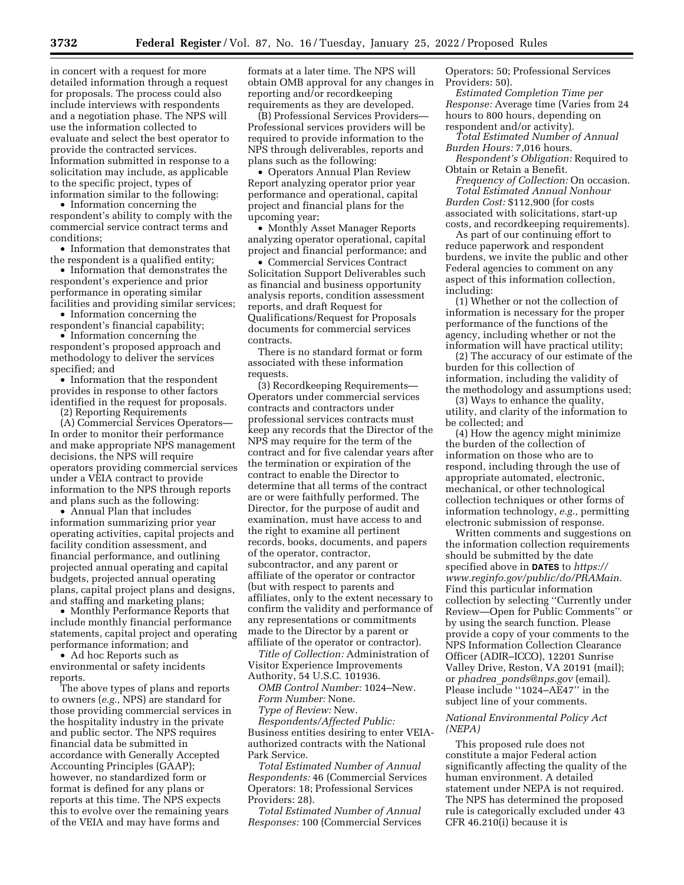in concert with a request for more detailed information through a request for proposals. The process could also include interviews with respondents and a negotiation phase. The NPS will use the information collected to evaluate and select the best operator to provide the contracted services. Information submitted in response to a solicitation may include, as applicable to the specific project, types of information similar to the following:

• Information concerning the respondent's ability to comply with the commercial service contract terms and conditions;

• Information that demonstrates that the respondent is a qualified entity;

• Information that demonstrates the respondent's experience and prior performance in operating similar facilities and providing similar services;

• Information concerning the

respondent's financial capability; • Information concerning the

respondent's proposed approach and methodology to deliver the services specified; and

• Information that the respondent provides in response to other factors identified in the request for proposals.

(2) Reporting Requirements

(A) Commercial Services Operators— In order to monitor their performance and make appropriate NPS management decisions, the NPS will require operators providing commercial services under a VEIA contract to provide information to the NPS through reports and plans such as the following:

• Annual Plan that includes information summarizing prior year operating activities, capital projects and facility condition assessment, and financial performance, and outlining projected annual operating and capital budgets, projected annual operating plans, capital project plans and designs, and staffing and marketing plans;

• Monthly Performance Reports that include monthly financial performance statements, capital project and operating performance information; and

• Ad hoc Reports such as environmental or safety incidents reports.

The above types of plans and reports to owners (*e.g.,* NPS) are standard for those providing commercial services in the hospitality industry in the private and public sector. The NPS requires financial data be submitted in accordance with Generally Accepted Accounting Principles (GAAP); however, no standardized form or format is defined for any plans or reports at this time. The NPS expects this to evolve over the remaining years of the VEIA and may have forms and

formats at a later time. The NPS will obtain OMB approval for any changes in reporting and/or recordkeeping requirements as they are developed.

(B) Professional Services Providers— Professional services providers will be required to provide information to the NPS through deliverables, reports and plans such as the following:

• Operators Annual Plan Review Report analyzing operator prior year performance and operational, capital project and financial plans for the upcoming year;

• Monthly Asset Manager Reports analyzing operator operational, capital project and financial performance; and

• Commercial Services Contract Solicitation Support Deliverables such as financial and business opportunity analysis reports, condition assessment reports, and draft Request for Qualifications/Request for Proposals documents for commercial services contracts.

There is no standard format or form associated with these information requests.

(3) Recordkeeping Requirements— Operators under commercial services contracts and contractors under professional services contracts must keep any records that the Director of the NPS may require for the term of the contract and for five calendar years after the termination or expiration of the contract to enable the Director to determine that all terms of the contract are or were faithfully performed. The Director, for the purpose of audit and examination, must have access to and the right to examine all pertinent records, books, documents, and papers of the operator, contractor, subcontractor, and any parent or affiliate of the operator or contractor (but with respect to parents and affiliates, only to the extent necessary to confirm the validity and performance of any representations or commitments made to the Director by a parent or affiliate of the operator or contractor).

*Title of Collection:* Administration of Visitor Experience Improvements

Authority, 54 U.S.C. 101936.

*OMB Control Number:* 1024–New. *Form Number:* None. *Type of Review:* New.

*Respondents/Affected Public:*  Business entities desiring to enter VEIAauthorized contracts with the National Park Service.

*Total Estimated Number of Annual Respondents:* 46 (Commercial Services Operators: 18; Professional Services Providers: 28).

*Total Estimated Number of Annual Responses:* 100 (Commercial Services

Operators: 50; Professional Services Providers: 50).

*Estimated Completion Time per Response:* Average time (Varies from 24 hours to 800 hours, depending on respondent and/or activity).

*Total Estimated Number of Annual Burden Hours:* 7,016 hours.

*Respondent's Obligation:* Required to Obtain or Retain a Benefit.

*Frequency of Collection:* On occasion. *Total Estimated Annual Nonhour Burden Cost:* \$112,900 (for costs associated with solicitations, start-up costs, and recordkeeping requirements).

As part of our continuing effort to reduce paperwork and respondent burdens, we invite the public and other Federal agencies to comment on any aspect of this information collection, including:

(1) Whether or not the collection of information is necessary for the proper performance of the functions of the agency, including whether or not the information will have practical utility;

(2) The accuracy of our estimate of the burden for this collection of information, including the validity of the methodology and assumptions used;

(3) Ways to enhance the quality, utility, and clarity of the information to be collected; and

(4) How the agency might minimize the burden of the collection of information on those who are to respond, including through the use of appropriate automated, electronic, mechanical, or other technological collection techniques or other forms of information technology, *e.g.,* permitting electronic submission of response.

Written comments and suggestions on the information collection requirements should be submitted by the date specified above in **DATES** to *[https://](https://www.reginfo.gov/public/do/PRAMain) [www.reginfo.gov/public/do/PRAMain.](https://www.reginfo.gov/public/do/PRAMain)*  Find this particular information collection by selecting ''Currently under Review—Open for Public Comments'' or by using the search function. Please provide a copy of your comments to the NPS Information Collection Clearance Officer (ADIR–ICCO), 12201 Sunrise Valley Drive, Reston, VA 20191 (mail); or *phadrea*\_*[ponds@nps.gov](mailto:phadrea_ponds@nps.gov)* (email). Please include ''1024–AE47'' in the subject line of your comments.

### *National Environmental Policy Act (NEPA)*

This proposed rule does not constitute a major Federal action significantly affecting the quality of the human environment. A detailed statement under NEPA is not required. The NPS has determined the proposed rule is categorically excluded under 43 CFR 46.210(i) because it is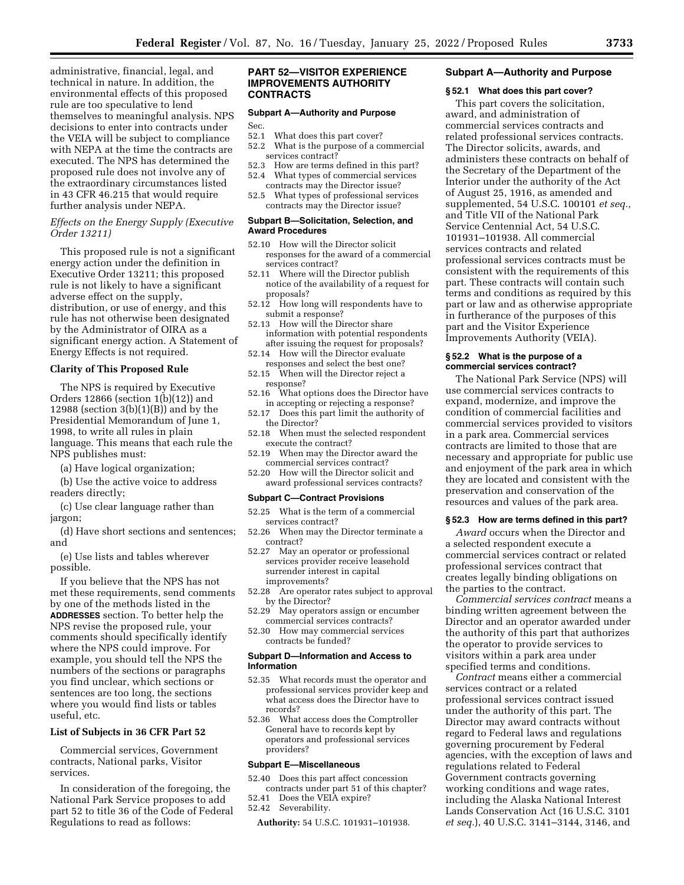administrative, financial, legal, and technical in nature. In addition, the environmental effects of this proposed rule are too speculative to lend themselves to meaningful analysis. NPS decisions to enter into contracts under the VEIA will be subject to compliance with NEPA at the time the contracts are executed. The NPS has determined the proposed rule does not involve any of the extraordinary circumstances listed in 43 CFR 46.215 that would require further analysis under NEPA.

## *Effects on the Energy Supply (Executive Order 13211)*

This proposed rule is not a significant energy action under the definition in Executive Order 13211; this proposed rule is not likely to have a significant adverse effect on the supply, distribution, or use of energy, and this rule has not otherwise been designated by the Administrator of OIRA as a significant energy action. A Statement of Energy Effects is not required.

### **Clarity of This Proposed Rule**

The NPS is required by Executive Orders  $12866$  (section  $1(b)(12)$ ) and 12988 (section  $3(b)(1)(B)$ ) and by the Presidential Memorandum of June 1, 1998, to write all rules in plain language. This means that each rule the NPS publishes must:

(a) Have logical organization;

- (b) Use the active voice to address readers directly;
- (c) Use clear language rather than jargon;
- (d) Have short sections and sentences; and

(e) Use lists and tables wherever possible.

If you believe that the NPS has not met these requirements, send comments by one of the methods listed in the **ADDRESSES** section. To better help the NPS revise the proposed rule, your comments should specifically identify where the NPS could improve. For example, you should tell the NPS the numbers of the sections or paragraphs you find unclear, which sections or sentences are too long, the sections where you would find lists or tables useful, etc.

## **List of Subjects in 36 CFR Part 52**

Commercial services, Government contracts, National parks, Visitor services.

In consideration of the foregoing, the National Park Service proposes to add part 52 to title 36 of the Code of Federal Regulations to read as follows:

### **PART 52—VISITOR EXPERIENCE IMPROVEMENTS AUTHORITY CONTRACTS**

### **Subpart A—Authority and Purpose**

- Sec.<br>52.1
- What does this part cover?
- 52.2 What is the purpose of a commercial services contract?
- 52.3 How are terms defined in this part?
- 52.4 What types of commercial services contracts may the Director issue?
- 52.5 What types of professional services contracts may the Director issue?

#### **Subpart B—Solicitation, Selection, and Award Procedures**

- 52.10 How will the Director solicit responses for the award of a commercial services contract?
- 52.11 Where will the Director publish notice of the availability of a request for proposals?
- 52.12 How long will respondents have to submit a response?
- 52.13 How will the Director share information with potential respondents after issuing the request for proposals?
- 52.14 How will the Director evaluate responses and select the best one?
- 52.15 When will the Director reject a response?
- 52.16 What options does the Director have in accepting or rejecting a response?
- 52.17 Does this part limit the authority of the Director?
- 52.18 When must the selected respondent execute the contract?
- 52.19 When may the Director award the commercial services contract?
- 52.20 How will the Director solicit and award professional services contracts?

#### **Subpart C—Contract Provisions**

- 52.25 What is the term of a commercial services contract?
- 52.26 When may the Director terminate a contract?
- 52.27 May an operator or professional services provider receive leasehold surrender interest in capital improvements?
- 52.28 Are operator rates subject to approval by the Director?
- 52.29 May operators assign or encumber commercial services contracts?
- 52.30 How may commercial services contracts be funded?

### **Subpart D—Information and Access to Information**

- 52.35 What records must the operator and professional services provider keep and what access does the Director have to records?
- 52.36 What access does the Comptroller General have to records kept by operators and professional services providers?

#### **Subpart E—Miscellaneous**

- 52.40 Does this part affect concession contracts under part 51 of this chapter?
- 52.41 Does the VEIA expire?
- 52.42 Severability.

**Authority:** 54 U.S.C. 101931–101938.

### **Subpart A—Authority and Purpose**

#### **§ 52.1 What does this part cover?**

This part covers the solicitation, award, and administration of commercial services contracts and related professional services contracts. The Director solicits, awards, and administers these contracts on behalf of the Secretary of the Department of the Interior under the authority of the Act of August 25, 1916, as amended and supplemented, 54 U.S.C. 100101 *et seq.,*  and Title VII of the National Park Service Centennial Act, 54 U.S.C. 101931–101938. All commercial services contracts and related professional services contracts must be consistent with the requirements of this part. These contracts will contain such terms and conditions as required by this part or law and as otherwise appropriate in furtherance of the purposes of this part and the Visitor Experience Improvements Authority (VEIA).

### **§ 52.2 What is the purpose of a commercial services contract?**

The National Park Service (NPS) will use commercial services contracts to expand, modernize, and improve the condition of commercial facilities and commercial services provided to visitors in a park area. Commercial services contracts are limited to those that are necessary and appropriate for public use and enjoyment of the park area in which they are located and consistent with the preservation and conservation of the resources and values of the park area.

#### **§ 52.3 How are terms defined in this part?**

*Award* occurs when the Director and a selected respondent execute a commercial services contract or related professional services contract that creates legally binding obligations on the parties to the contract.

*Commercial services contract* means a binding written agreement between the Director and an operator awarded under the authority of this part that authorizes the operator to provide services to visitors within a park area under specified terms and conditions.

*Contract* means either a commercial services contract or a related professional services contract issued under the authority of this part. The Director may award contracts without regard to Federal laws and regulations governing procurement by Federal agencies, with the exception of laws and regulations related to Federal Government contracts governing working conditions and wage rates, including the Alaska National Interest Lands Conservation Act (16 U.S.C. 3101 *et seq.*), 40 U.S.C. 3141–3144, 3146, and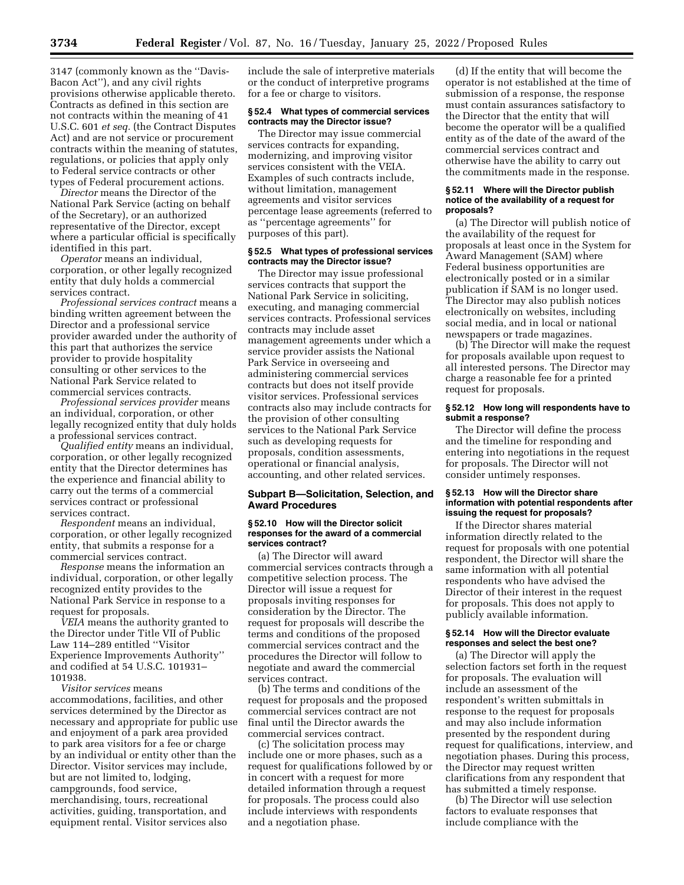3147 (commonly known as the ''Davis-Bacon Act''), and any civil rights provisions otherwise applicable thereto. Contracts as defined in this section are not contracts within the meaning of 41 U.S.C. 601 *et seq.* (the Contract Disputes Act) and are not service or procurement contracts within the meaning of statutes, regulations, or policies that apply only to Federal service contracts or other types of Federal procurement actions.

*Director* means the Director of the National Park Service (acting on behalf of the Secretary), or an authorized representative of the Director, except where a particular official is specifically identified in this part.

*Operator* means an individual, corporation, or other legally recognized entity that duly holds a commercial services contract.

*Professional services contract* means a binding written agreement between the Director and a professional service provider awarded under the authority of this part that authorizes the service provider to provide hospitality consulting or other services to the National Park Service related to commercial services contracts.

*Professional services provider* means an individual, corporation, or other legally recognized entity that duly holds a professional services contract.

*Qualified entity* means an individual, corporation, or other legally recognized entity that the Director determines has the experience and financial ability to carry out the terms of a commercial services contract or professional services contract.

*Respondent* means an individual, corporation, or other legally recognized entity, that submits a response for a commercial services contract.

*Response* means the information an individual, corporation, or other legally recognized entity provides to the National Park Service in response to a request for proposals.

*VEIA* means the authority granted to the Director under Title VII of Public Law 114–289 entitled ''Visitor Experience Improvements Authority'' and codified at 54 U.S.C. 101931– 101938.

*Visitor services* means accommodations, facilities, and other services determined by the Director as necessary and appropriate for public use and enjoyment of a park area provided to park area visitors for a fee or charge by an individual or entity other than the Director. Visitor services may include, but are not limited to, lodging, campgrounds, food service, merchandising, tours, recreational activities, guiding, transportation, and equipment rental. Visitor services also

include the sale of interpretive materials or the conduct of interpretive programs for a fee or charge to visitors.

#### **§ 52.4 What types of commercial services contracts may the Director issue?**

The Director may issue commercial services contracts for expanding, modernizing, and improving visitor services consistent with the VEIA. Examples of such contracts include, without limitation, management agreements and visitor services percentage lease agreements (referred to as ''percentage agreements'' for purposes of this part).

### **§ 52.5 What types of professional services contracts may the Director issue?**

The Director may issue professional services contracts that support the National Park Service in soliciting, executing, and managing commercial services contracts. Professional services contracts may include asset management agreements under which a service provider assists the National Park Service in overseeing and administering commercial services contracts but does not itself provide visitor services. Professional services contracts also may include contracts for the provision of other consulting services to the National Park Service such as developing requests for proposals, condition assessments, operational or financial analysis, accounting, and other related services.

### **Subpart B—Solicitation, Selection, and Award Procedures**

#### **§ 52.10 How will the Director solicit responses for the award of a commercial services contract?**

(a) The Director will award commercial services contracts through a competitive selection process. The Director will issue a request for proposals inviting responses for consideration by the Director. The request for proposals will describe the terms and conditions of the proposed commercial services contract and the procedures the Director will follow to negotiate and award the commercial services contract.

(b) The terms and conditions of the request for proposals and the proposed commercial services contract are not final until the Director awards the commercial services contract.

(c) The solicitation process may include one or more phases, such as a request for qualifications followed by or in concert with a request for more detailed information through a request for proposals. The process could also include interviews with respondents and a negotiation phase.

(d) If the entity that will become the operator is not established at the time of submission of a response, the response must contain assurances satisfactory to the Director that the entity that will become the operator will be a qualified entity as of the date of the award of the commercial services contract and otherwise have the ability to carry out the commitments made in the response.

#### **§ 52.11 Where will the Director publish notice of the availability of a request for proposals?**

(a) The Director will publish notice of the availability of the request for proposals at least once in the System for Award Management (SAM) where Federal business opportunities are electronically posted or in a similar publication if SAM is no longer used. The Director may also publish notices electronically on websites, including social media, and in local or national newspapers or trade magazines.

(b) The Director will make the request for proposals available upon request to all interested persons. The Director may charge a reasonable fee for a printed request for proposals.

#### **§ 52.12 How long will respondents have to submit a response?**

The Director will define the process and the timeline for responding and entering into negotiations in the request for proposals. The Director will not consider untimely responses.

### **§ 52.13 How will the Director share information with potential respondents after issuing the request for proposals?**

If the Director shares material information directly related to the request for proposals with one potential respondent, the Director will share the same information with all potential respondents who have advised the Director of their interest in the request for proposals. This does not apply to publicly available information.

#### **§ 52.14 How will the Director evaluate responses and select the best one?**

(a) The Director will apply the selection factors set forth in the request for proposals. The evaluation will include an assessment of the respondent's written submittals in response to the request for proposals and may also include information presented by the respondent during request for qualifications, interview, and negotiation phases. During this process, the Director may request written clarifications from any respondent that has submitted a timely response.

(b) The Director will use selection factors to evaluate responses that include compliance with the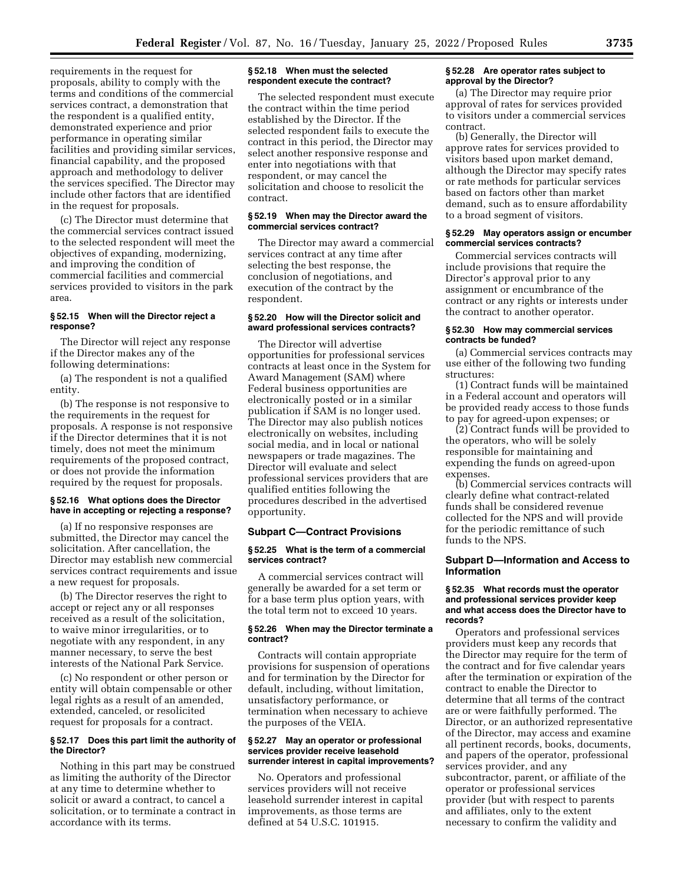requirements in the request for proposals, ability to comply with the terms and conditions of the commercial services contract, a demonstration that the respondent is a qualified entity, demonstrated experience and prior performance in operating similar facilities and providing similar services, financial capability, and the proposed approach and methodology to deliver the services specified. The Director may include other factors that are identified in the request for proposals.

(c) The Director must determine that the commercial services contract issued to the selected respondent will meet the objectives of expanding, modernizing, and improving the condition of commercial facilities and commercial services provided to visitors in the park area.

#### **§ 52.15 When will the Director reject a response?**

The Director will reject any response if the Director makes any of the following determinations:

(a) The respondent is not a qualified entity.

(b) The response is not responsive to the requirements in the request for proposals. A response is not responsive if the Director determines that it is not timely, does not meet the minimum requirements of the proposed contract, or does not provide the information required by the request for proposals.

#### **§ 52.16 What options does the Director have in accepting or rejecting a response?**

(a) If no responsive responses are submitted, the Director may cancel the solicitation. After cancellation, the Director may establish new commercial services contract requirements and issue a new request for proposals.

(b) The Director reserves the right to accept or reject any or all responses received as a result of the solicitation, to waive minor irregularities, or to negotiate with any respondent, in any manner necessary, to serve the best interests of the National Park Service.

(c) No respondent or other person or entity will obtain compensable or other legal rights as a result of an amended, extended, canceled, or resolicited request for proposals for a contract.

### **§ 52.17 Does this part limit the authority of the Director?**

Nothing in this part may be construed as limiting the authority of the Director at any time to determine whether to solicit or award a contract, to cancel a solicitation, or to terminate a contract in accordance with its terms.

### **§ 52.18 When must the selected respondent execute the contract?**

The selected respondent must execute the contract within the time period established by the Director. If the selected respondent fails to execute the contract in this period, the Director may select another responsive response and enter into negotiations with that respondent, or may cancel the solicitation and choose to resolicit the contract.

### **§ 52.19 When may the Director award the commercial services contract?**

The Director may award a commercial services contract at any time after selecting the best response, the conclusion of negotiations, and execution of the contract by the respondent.

### **§ 52.20 How will the Director solicit and award professional services contracts?**

The Director will advertise opportunities for professional services contracts at least once in the System for Award Management (SAM) where Federal business opportunities are electronically posted or in a similar publication if SAM is no longer used. The Director may also publish notices electronically on websites, including social media, and in local or national newspapers or trade magazines. The Director will evaluate and select professional services providers that are qualified entities following the procedures described in the advertised opportunity.

# **Subpart C—Contract Provisions**

#### **§ 52.25 What is the term of a commercial services contract?**

A commercial services contract will generally be awarded for a set term or for a base term plus option years, with the total term not to exceed 10 years.

### **§ 52.26 When may the Director terminate a contract?**

Contracts will contain appropriate provisions for suspension of operations and for termination by the Director for default, including, without limitation, unsatisfactory performance, or termination when necessary to achieve the purposes of the VEIA.

#### **§ 52.27 May an operator or professional services provider receive leasehold surrender interest in capital improvements?**

No. Operators and professional services providers will not receive leasehold surrender interest in capital improvements, as those terms are defined at 54 U.S.C. 101915.

#### **§ 52.28 Are operator rates subject to approval by the Director?**

(a) The Director may require prior approval of rates for services provided to visitors under a commercial services contract.

(b) Generally, the Director will approve rates for services provided to visitors based upon market demand, although the Director may specify rates or rate methods for particular services based on factors other than market demand, such as to ensure affordability to a broad segment of visitors.

#### **§ 52.29 May operators assign or encumber commercial services contracts?**

Commercial services contracts will include provisions that require the Director's approval prior to any assignment or encumbrance of the contract or any rights or interests under the contract to another operator.

#### **§ 52.30 How may commercial services contracts be funded?**

(a) Commercial services contracts may use either of the following two funding structures:

(1) Contract funds will be maintained in a Federal account and operators will be provided ready access to those funds to pay for agreed-upon expenses; or

(2) Contract funds will be provided to the operators, who will be solely responsible for maintaining and expending the funds on agreed-upon expenses.

(b) Commercial services contracts will clearly define what contract-related funds shall be considered revenue collected for the NPS and will provide for the periodic remittance of such funds to the NPS.

# **Subpart D—Information and Access to Information**

#### **§ 52.35 What records must the operator and professional services provider keep and what access does the Director have to records?**

Operators and professional services providers must keep any records that the Director may require for the term of the contract and for five calendar years after the termination or expiration of the contract to enable the Director to determine that all terms of the contract are or were faithfully performed. The Director, or an authorized representative of the Director, may access and examine all pertinent records, books, documents, and papers of the operator, professional services provider, and any subcontractor, parent, or affiliate of the operator or professional services provider (but with respect to parents and affiliates, only to the extent necessary to confirm the validity and